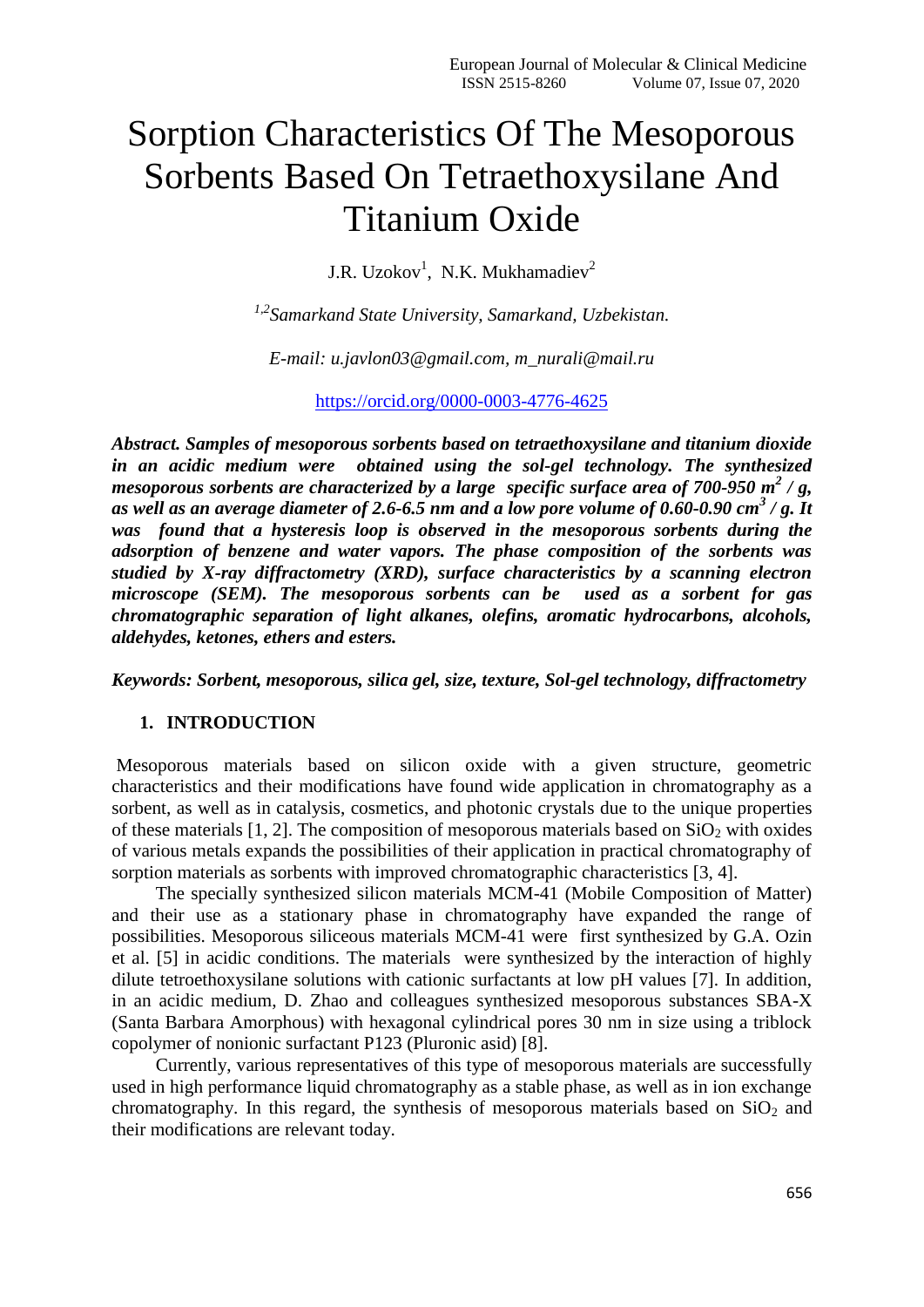# Sorption Characteristics Of The Mesoporous Sorbents Based On Tetraethoxysilane And Titanium Oxide

J.R. Uzokov<sup>1</sup>, N.K. Mukhamadiev<sup>2</sup>

*1,2Samarkand State University, Samarkand, Uzbekistan.*

*E-mail: [u.javlon03@gmail.com,](mailto:u.javlon03@gmail.com) [m\\_nurali@mail.ru](mailto:m_nurali@mail.ru)*

https://orcid.org/0000-0003-4776-4625

*Abstract. Samples of mesoporous sorbents based on tetraethoxysilane and titanium dioxide in an acidic medium were obtained using the sol-gel technology. The synthesized mesoporous sorbents are characterized by a large specific surface area of 700-950 m<sup>2</sup> / g, as well as an average diameter of 2.6-6.5 nm and a low pore volume of 0.60-0.90 cm<sup>3</sup> / g. It was found that a hysteresis loop is observed in the mesoporous sorbents during the adsorption of benzene and water vapors. The phase composition of the sorbents was studied by X-ray diffractometry (XRD), surface characteristics by a scanning electron microscope (SEM). The mesoporous sorbents can be used as a sorbent for gas chromatographic separation of light alkanes, olefins, aromatic hydrocarbons, alcohols, aldehydes, ketones, ethers and esters.*

*Keywords: Sorbent, mesoporous, silica gel, size, texture, Sol-gel technology, diffractometry*

## **1. INTRODUCTION**

Mesoporous materials based on silicon oxide with a given structure, geometric characteristics and their modifications have found wide application in chromatography as a sorbent, as well as in catalysis, cosmetics, and photonic crystals due to the unique properties of these materials [1, 2]. The composition of mesoporous materials based on  $SiO<sub>2</sub>$  with oxides of various metals expands the possibilities of their application in practical chromatography of sorption materials as sorbents with improved chromatographic characteristics [3, 4].

The specially synthesized silicon materials MCM-41 (Mobile Composition of Matter) and their use as a stationary phase in chromatography have expanded the range of possibilities. Mesoporous siliceous materials MCM-41 were first synthesized by G.A. Ozin et al. [5] in acidic conditions. The materials were synthesized by the interaction of highly dilute tetroethoxysilane solutions with cationic surfactants at low pH values [7]. In addition, in an acidic medium, D. Zhao and colleagues synthesized mesoporous substances SBA-X (Santa Barbara Amorphous) with hexagonal cylindrical pores 30 nm in size using a triblock copolymer of nonionic surfactant P123 (Pluronic asid) [8].

Currently, various representatives of this type of mesoporous materials are successfully used in high performance liquid chromatography as a stable phase, as well as in ion exchange chromatography. In this regard, the synthesis of mesoporous materials based on  $SiO<sub>2</sub>$  and their modifications are relevant today.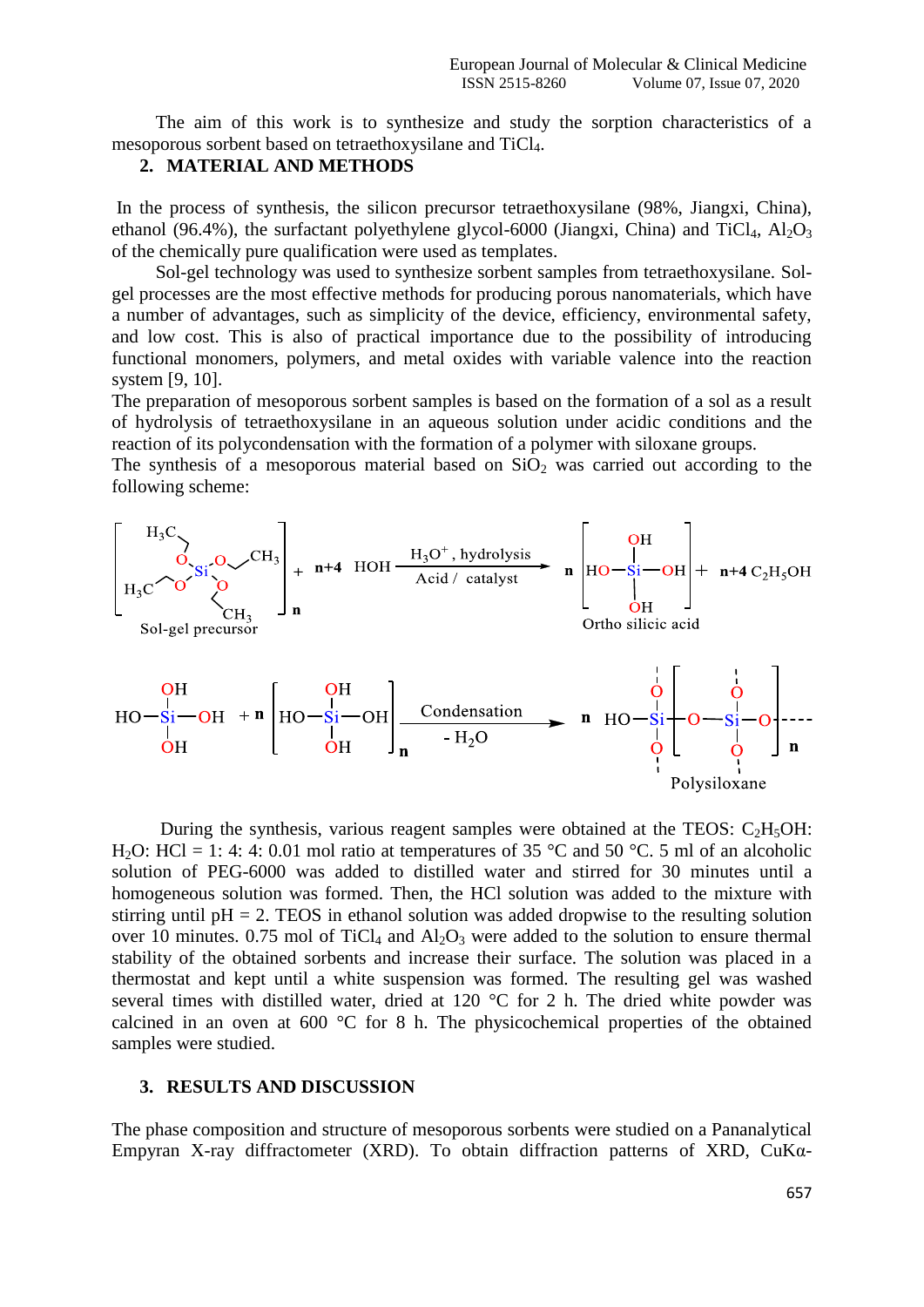The aim of this work is to synthesize and study the sorption characteristics of a mesoporous sorbent based on tetraethoxysilane and TiCl4.

## **2. MATERIAL AND METHODS**

In the process of synthesis, the silicon precursor tetraethoxysilane (98%, Jiangxi, China), ethanol (96.4%), the surfactant polyethylene glycol-6000 (Jiangxi, China) and TiCl<sub>4</sub>,  $Al_2O_3$ of the chemically pure qualification were used as templates.

Sol-gel technology was used to synthesize sorbent samples from tetraethoxysilane. Solgel processes are the most effective methods for producing porous nanomaterials, which have a number of advantages, such as simplicity of the device, efficiency, environmental safety, and low cost. This is also of practical importance due to the possibility of introducing functional monomers, polymers, and metal oxides with variable valence into the reaction system [9, 10].

The preparation of mesoporous sorbent samples is based on the formation of a sol as a result of hydrolysis of tetraethoxysilane in an aqueous solution under acidic conditions and the reaction of its polycondensation with the formation of a polymer with siloxane groups.

The synthesis of a mesoporous material based on  $SiO<sub>2</sub>$  was carried out according to the following scheme:



During the synthesis, various reagent samples were obtained at the TEOS:  $C_2H_5OH$ : H<sub>2</sub>O: HCl = 1: 4: 4: 0.01 mol ratio at temperatures of 35 °C and 50 °C. 5 ml of an alcoholic solution of PEG-6000 was added to distilled water and stirred for 30 minutes until a homogeneous solution was formed. Then, the HCl solution was added to the mixture with stirring until  $pH = 2$ . TEOS in ethanol solution was added dropwise to the resulting solution over 10 minutes. 0.75 mol of TiCl<sub>4</sub> and  $Al_2O_3$  were added to the solution to ensure thermal stability of the obtained sorbents and increase their surface. The solution was placed in a thermostat and kept until a white suspension was formed. The resulting gel was washed several times with distilled water, dried at 120 °C for 2 h. The dried white powder was calcined in an oven at  $600\text{ °C}$  for 8 h. The physicochemical properties of the obtained samples were studied.

#### **3. RESULTS AND DISCUSSION**

The phase composition and structure of mesoporous sorbents were studied on a Pananalytical Empyran X-ray diffractometer (XRD). To obtain diffraction patterns of XRD, CuKα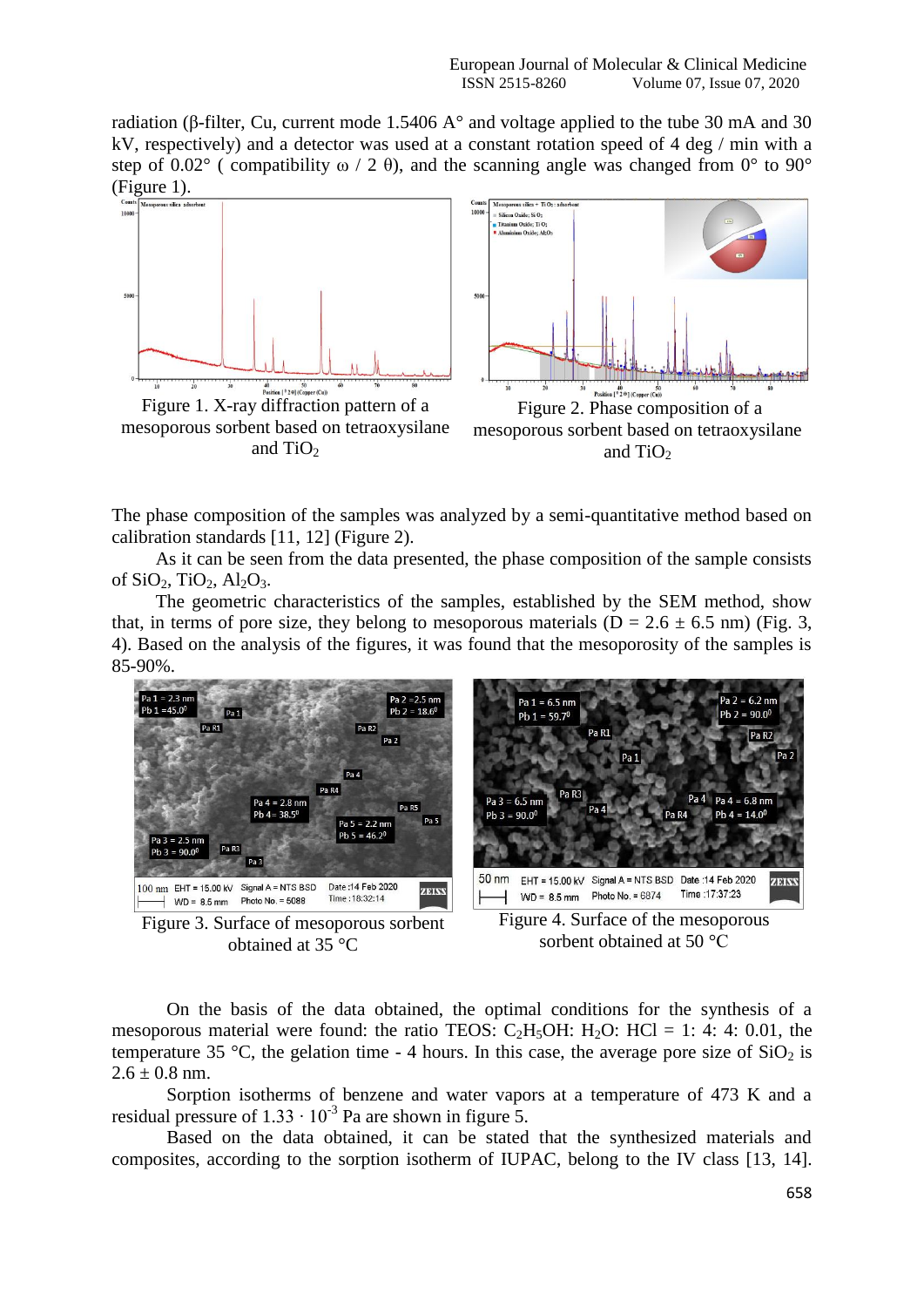radiation (β-filter, Cu, current mode 1.5406 A° and voltage applied to the tube 30 mA and 30 kV, respectively) and a detector was used at a constant rotation speed of 4 deg / min with a step of 0.02° ( compatibility  $\omega / 2 \theta$ ), and the scanning angle was changed from 0° to 90° (Figure 1).





The phase composition of the samples was analyzed by a semi-quantitative method based on calibration standards [11, 12] (Figure 2).

As it can be seen from the data presented, the phase composition of the sample consists of  $SiO<sub>2</sub>$ ,  $TiO<sub>2</sub>$ ,  $Al<sub>2</sub>O<sub>3</sub>$ .

The geometric characteristics of the samples, established by the SEM method, show that, in terms of pore size, they belong to mesoporous materials ( $D = 2.6 \pm 6.5$  nm) (Fig. 3, 4). Based on the analysis of the figures, it was found that the mesoporosity of the samples is 85-90%.



Figure 3. Surface of mesoporous sorbent obtained at 35 °C

Figure 4. Surface of the mesoporous sorbent obtained at 50 °C

On the basis of the data obtained, the optimal conditions for the synthesis of a mesoporous material were found: the ratio TEOS:  $C_2H_5OH$ :  $H_2O$ : HCl = 1: 4: 4: 0.01, the temperature 35 °C, the gelation time - 4 hours. In this case, the average pore size of  $SiO<sub>2</sub>$  is  $2.6 \pm 0.8$  nm.

Sorption isotherms of benzene and water vapors at a temperature of 473 K and a residual pressure of  $1.33 \cdot 10^{-3}$  Pa are shown in figure 5.

Based on the data obtained, it can be stated that the synthesized materials and composites, according to the sorption isotherm of IUPAC, belong to the IV class [13, 14].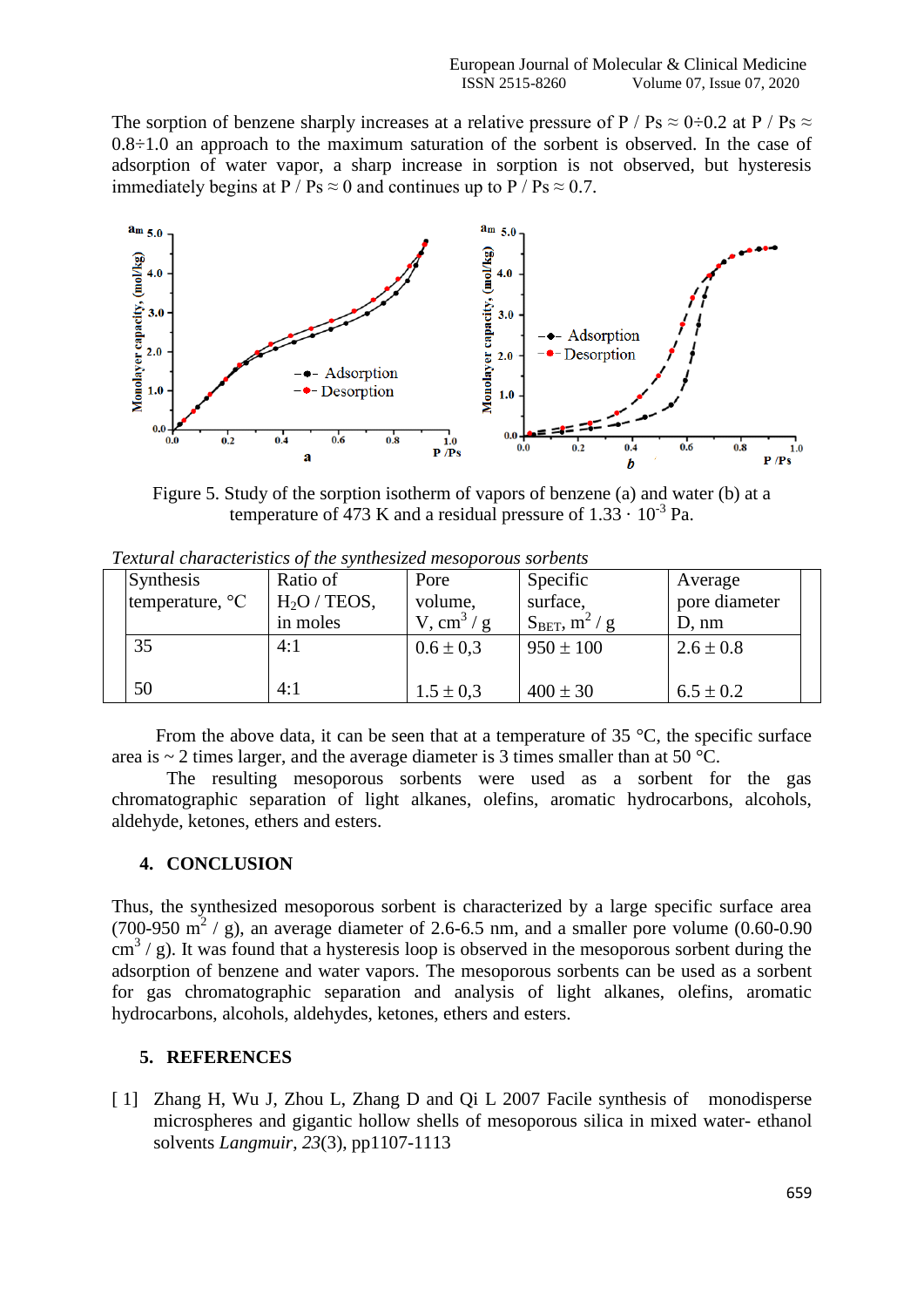The sorption of benzene sharply increases at a relative pressure of P / Ps  $\approx$  0÷0.2 at P / Ps  $\approx$  $0.8\div1.0$  an approach to the maximum saturation of the sorbent is observed. In the case of adsorption of water vapor, a sharp increase in sorption is not observed, but hysteresis immediately begins at P / Ps  $\approx$  0 and continues up to P / Ps  $\approx$  0.7.



Figure 5. Study of the sorption isotherm of vapors of benzene (a) and water (b) at a temperature of 473 K and a residual pressure of  $1.33 \cdot 10^{-3}$  Pa.

| Synthesis<br>temperature, °C | Ratio of<br>$H2O$ / TEOS, | Pore<br>volume,                        | Specific<br>surface,                           | Average<br>pore diameter |
|------------------------------|---------------------------|----------------------------------------|------------------------------------------------|--------------------------|
| 35                           | in moles<br>4:1           | V, cm <sup>3</sup> /g<br>$0.6 \pm 0.3$ | $S_{BET}$ , m <sup>2</sup> /g<br>$950 \pm 100$ | D, nm<br>$2.6 \pm 0.8$   |
| 50                           | 4:1                       | $1.5 \pm 0.3$                          | $400 \pm 30$                                   | $6.5 \pm 0.2$            |

*Textural characteristics of the synthesized mesoporous sorbents*

From the above data, it can be seen that at a temperature of  $35^{\circ}$ C, the specific surface area is  $\sim$  2 times larger, and the average diameter is 3 times smaller than at 50 °C.

The resulting mesoporous sorbents were used as a sorbent for the gas chromatographic separation of light alkanes, olefins, aromatic hydrocarbons, alcohols, aldehyde, ketones, ethers and esters.

## **4. CONCLUSION**

Thus, the synthesized mesoporous sorbent is characterized by a large specific surface area (700-950  $\text{m}^2$  / g), an average diameter of 2.6-6.5 nm, and a smaller pore volume (0.60-0.90  $\text{cm}^3$  / g). It was found that a hysteresis loop is observed in the mesoporous sorbent during the adsorption of benzene and water vapors. The mesoporous sorbents can be used as a sorbent for gas chromatographic separation and analysis of light alkanes, olefins, aromatic hydrocarbons, alcohols, aldehydes, ketones, ethers and esters.

### **5. REFERENCES**

[ 1] Zhang H, Wu J, Zhou L, Zhang D and Qi L 2007 Facile synthesis of monodisperse microspheres and gigantic hollow shells of mesoporous silica in mixed water- ethanol solvents *Langmuir*, *23*(3), pp1107-1113